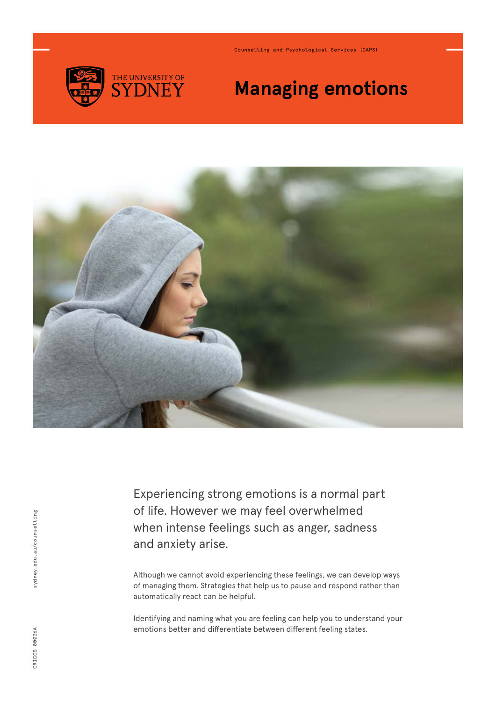

Counselling and Psychological Services (CAPS)

## **Managing emotions**



Experiencing strong emotions is a normal part of life. However we may feel overwhelmed when intense feelings such as anger, sadness and anxiety arise.

Although we cannot avoid experiencing these feelings, we can develop ways of managing them. Strategies that help us to pause and respond rather than automatically react can be helpful.

Identifying and naming what you are feeling can help you to understand your emotions better and differentiate between different feeling states.